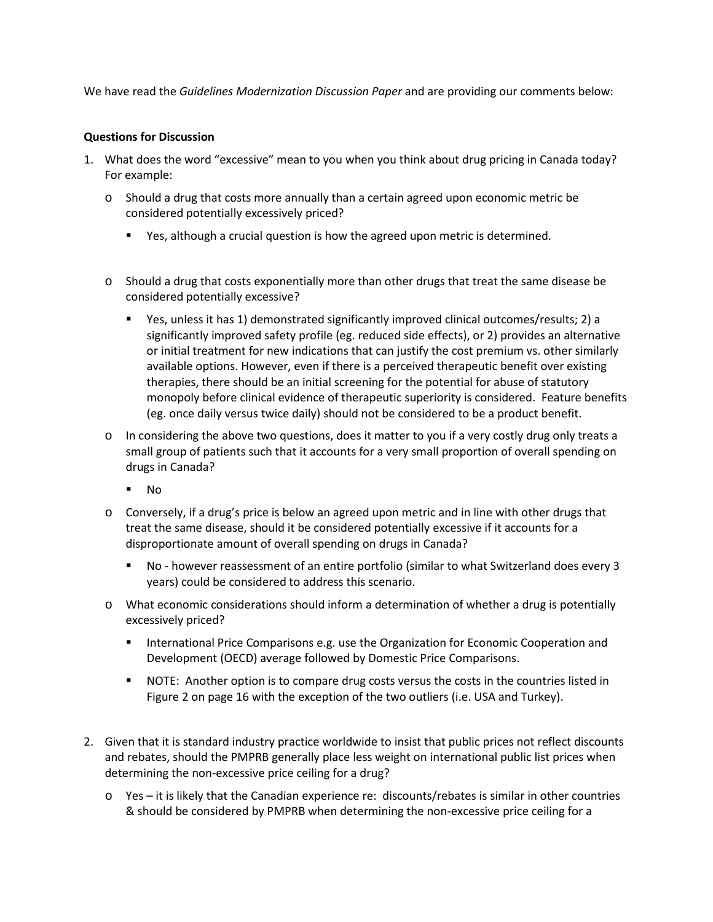We have read the *[Guidelines Modernization Discussion Paper](http://www.pmprb-cepmb.gc.ca/view.asp?ccid=1260&lang=en)* and are providing our comments below:

## **Questions for Discussion**

- 1. What does the word "excessive" mean to you when you think about drug pricing in Canada today? For example:
	- o Should a drug that costs more annually than a certain agreed upon economic metric be considered potentially excessively priced?
		- **Parths** Yes, although a crucial question is how the agreed upon metric is determined.
	- o Should a drug that costs exponentially more than other drugs that treat the same disease be considered potentially excessive?
		- Yes, unless it has 1) demonstrated significantly improved clinical outcomes/results; 2) a significantly improved safety profile (eg. reduced side effects), or 2) provides an alternative or initial treatment for new indications that can justify the cost premium vs. other similarly available options. However, even if there is a perceived therapeutic benefit over existing therapies, there should be an initial screening for the potential for abuse of statutory monopoly before clinical evidence of therapeutic superiority is considered. Feature benefits (eg. once daily versus twice daily) should not be considered to be a product benefit.
	- o In considering the above two questions, does it matter to you if a very costly drug only treats a small group of patients such that it accounts for a very small proportion of overall spending on drugs in Canada?
		- $\blacksquare$  No
	- o Conversely, if a drug's price is below an agreed upon metric and in line with other drugs that treat the same disease, should it be considered potentially excessive if it accounts for a disproportionate amount of overall spending on drugs in Canada?
		- No however reassessment of an entire portfolio (similar to what Switzerland does every 3 years) could be considered to address this scenario.
	- o What economic considerations should inform a determination of whether a drug is potentially excessively priced?
		- **International Price Comparisons e.g. use the Organization for Economic Cooperation and** Development (OECD) average followed by Domestic Price Comparisons.
		- NOTE: Another option is to compare drug costs versus the costs in the countries listed in Figure 2 on page 16 with the exception of the two outliers (i.e. USA and Turkey).
- 2. Given that it is standard industry practice worldwide to insist that public prices not reflect discounts and rebates, should the PMPRB generally place less weight on international public list prices when determining the non-excessive price ceiling for a drug?
	- o Yes it is likely that the Canadian experience re: discounts/rebates is similar in other countries & should be considered by PMPRB when determining the non-excessive price ceiling for a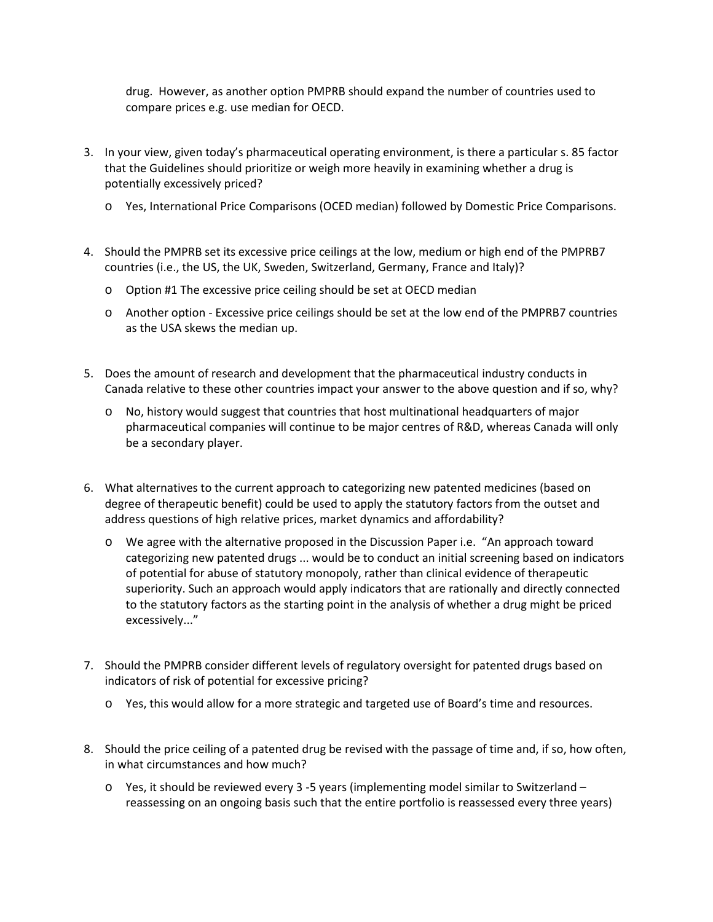drug. However, as another option PMPRB should expand the number of countries used to compare prices e.g. use median for OECD.

- 3. In your view, given today's pharmaceutical operating environment, is there a particular s. 85 factor that the Guidelines should prioritize or weigh more heavily in examining whether a drug is potentially excessively priced?
	- o Yes, International Price Comparisons (OCED median) followed by Domestic Price Comparisons.
- 4. Should the PMPRB set its excessive price ceilings at the low, medium or high end of the PMPRB7 countries (i.e., the US, the UK, Sweden, Switzerland, Germany, France and Italy)?
	- o Option #1 The excessive price ceiling should be set at OECD median
	- o Another option Excessive price ceilings should be set at the low end of the PMPRB7 countries as the USA skews the median up.
- 5. Does the amount of research and development that the pharmaceutical industry conducts in Canada relative to these other countries impact your answer to the above question and if so, why?
	- o No, history would suggest that countries that host multinational headquarters of major pharmaceutical companies will continue to be major centres of R&D, whereas Canada will only be a secondary player.
- 6. What alternatives to the current approach to categorizing new patented medicines (based on degree of therapeutic benefit) could be used to apply the statutory factors from the outset and address questions of high relative prices, market dynamics and affordability?
	- o We agree with the alternative proposed in the Discussion Paper i.e. "An approach toward categorizing new patented drugs ... would be to conduct an initial screening based on indicators of potential for abuse of statutory monopoly, rather than clinical evidence of therapeutic superiority. Such an approach would apply indicators that are rationally and directly connected to the statutory factors as the starting point in the analysis of whether a drug might be priced excessively..."
- 7. Should the PMPRB consider different levels of regulatory oversight for patented drugs based on indicators of risk of potential for excessive pricing?
	- o Yes, this would allow for a more strategic and targeted use of Board's time and resources.
- 8. Should the price ceiling of a patented drug be revised with the passage of time and, if so, how often, in what circumstances and how much?
	- o Yes, it should be reviewed every 3 -5 years (implementing model similar to Switzerland reassessing on an ongoing basis such that the entire portfolio is reassessed every three years)